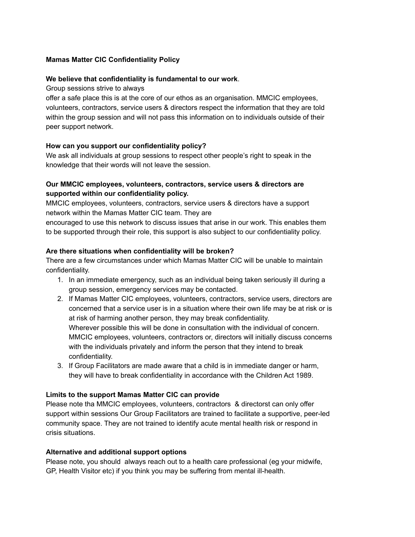### **Mamas Matter CIC Confidentiality Policy**

#### **We believe that confidentiality is fundamental to our work**.

Group sessions strive to always

offer a safe place this is at the core of our ethos as an organisation. MMCIC employees, volunteers, contractors, service users & directors respect the information that they are told within the group session and will not pass this information on to individuals outside of their peer support network.

### **How can you support our confidentiality policy?**

We ask all individuals at group sessions to respect other people's right to speak in the knowledge that their words will not leave the session.

# **Our MMCIC employees, volunteers, contractors, service users & directors are supported within our confidentiality policy.**

MMCIC employees, volunteers, contractors, service users & directors have a support network within the Mamas Matter CIC team. They are

encouraged to use this network to discuss issues that arise in our work. This enables them to be supported through their role, this support is also subject to our confidentiality policy.

### **Are there situations when confidentiality will be broken?**

There are a few circumstances under which Mamas Matter CIC will be unable to maintain confidentiality.

- 1. In an immediate emergency, such as an individual being taken seriously ill during a group session, emergency services may be contacted.
- 2. If Mamas Matter CIC employees, volunteers, contractors, service users, directors are concerned that a service user is in a situation where their own life may be at risk or is at risk of harming another person, they may break confidentiality. Wherever possible this will be done in consultation with the individual of concern. MMCIC employees, volunteers, contractors or, directors will initially discuss concerns with the individuals privately and inform the person that they intend to break confidentiality.
- 3. If Group Facilitators are made aware that a child is in immediate danger or harm, they will have to break confidentiality in accordance with the Children Act 1989.

## **Limits to the support Mamas Matter CIC can provide**

Please note tha MMCIC employees, volunteers, contractors & directorst can only offer support within sessions Our Group Facilitators are trained to facilitate a supportive, peer-led community space. They are not trained to identify acute mental health risk or respond in crisis situations.

# **Alternative and additional support options**

Please note, you should always reach out to a health care professional (eg your midwife, GP, Health Visitor etc) if you think you may be suffering from mental ill-health.